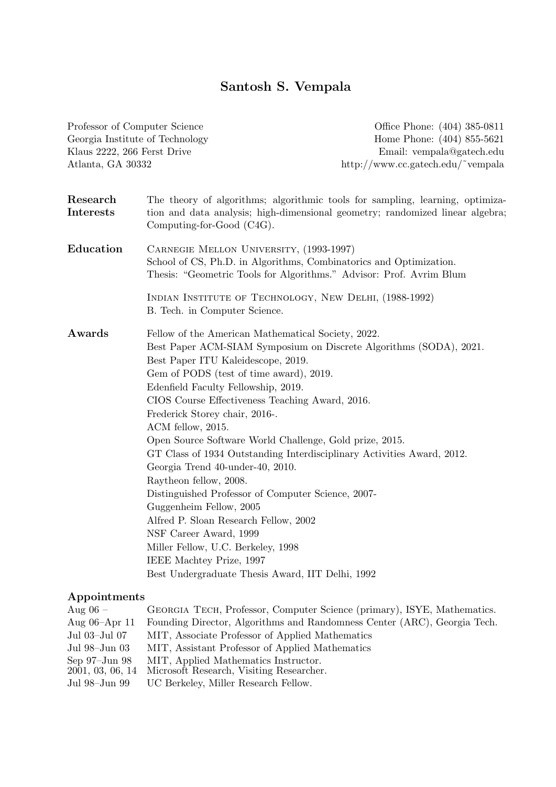# Santosh S. Vempala

| Professor of Computer Science   |                                                                                                                                                                                                                                                                                                                                                                                                                                                                                                                                         | Office Phone: (404) 385-0811                                                                                                                                   |
|---------------------------------|-----------------------------------------------------------------------------------------------------------------------------------------------------------------------------------------------------------------------------------------------------------------------------------------------------------------------------------------------------------------------------------------------------------------------------------------------------------------------------------------------------------------------------------------|----------------------------------------------------------------------------------------------------------------------------------------------------------------|
| Georgia Institute of Technology |                                                                                                                                                                                                                                                                                                                                                                                                                                                                                                                                         | Home Phone: (404) 855-5621                                                                                                                                     |
| Klaus 2222, 266 Ferst Drive     |                                                                                                                                                                                                                                                                                                                                                                                                                                                                                                                                         | Email: vempala@gatech.edu                                                                                                                                      |
| Atlanta, GA 30332               |                                                                                                                                                                                                                                                                                                                                                                                                                                                                                                                                         | http://www.cc.gatech.edu/~vempala                                                                                                                              |
| Research<br>Interests           | Computing-for-Good (C4G).                                                                                                                                                                                                                                                                                                                                                                                                                                                                                                               | The theory of algorithms; algorithmic tools for sampling, learning, optimiza-<br>tion and data analysis; high-dimensional geometry; randomized linear algebra; |
| Education                       | CARNEGIE MELLON UNIVERSITY, (1993-1997)<br>School of CS, Ph.D. in Algorithms, Combinatorics and Optimization.<br>Thesis: "Geometric Tools for Algorithms." Advisor: Prof. Avrim Blum                                                                                                                                                                                                                                                                                                                                                    |                                                                                                                                                                |
|                                 | INDIAN INSTITUTE OF TECHNOLOGY, NEW DELHI, (1988-1992)<br>B. Tech. in Computer Science.                                                                                                                                                                                                                                                                                                                                                                                                                                                 |                                                                                                                                                                |
| Awards                          | Fellow of the American Mathematical Society, 2022.<br>Best Paper ITU Kaleidescope, 2019.<br>Gem of PODS (test of time award), 2019.<br>Edenfield Faculty Fellowship, 2019.<br>CIOS Course Effectiveness Teaching Award, 2016.<br>Frederick Storey chair, 2016-.<br>ACM fellow, 2015.<br>Open Source Software World Challenge, Gold prize, 2015.<br>Georgia Trend 40-under-40, 2010.<br>Raytheon fellow, 2008.<br>Distinguished Professor of Computer Science, 2007-<br>Guggenheim Fellow, 2005<br>Alfred P. Sloan Research Fellow, 2002 | Best Paper ACM-SIAM Symposium on Discrete Algorithms (SODA), 2021.<br>GT Class of 1934 Outstanding Interdisciplinary Activities Award, 2012.                   |
|                                 | NSF Career Award, 1999<br>Miller Fellow, U.C. Berkeley, 1998<br>IEEE Machtey Prize, 1997<br>Best Undergraduate Thesis Award, IIT Delhi, 1992                                                                                                                                                                                                                                                                                                                                                                                            |                                                                                                                                                                |
| Appointments                    |                                                                                                                                                                                                                                                                                                                                                                                                                                                                                                                                         |                                                                                                                                                                |

| Aug $06 -$         | GEORGIA TECH, Professor, Computer Science (primary), ISYE, Mathematics.  |  |
|--------------------|--------------------------------------------------------------------------|--|
| Aug $06$ –Apr 11   | Founding Director, Algorithms and Randomness Center (ARC), Georgia Tech. |  |
| Jul 03–Jul 07      | MIT, Associate Professor of Applied Mathematics                          |  |
| Jul 98–Jun 03      | MIT, Assistant Professor of Applied Mathematics                          |  |
| Sep $97$ -Jun $98$ | MIT, Applied Mathematics Instructor.                                     |  |
| 2001, 03, 06, 14   | Microsoft Research, Visiting Researcher.                                 |  |
| Jul 98–Jun 99      | UC Berkeley, Miller Research Fellow.                                     |  |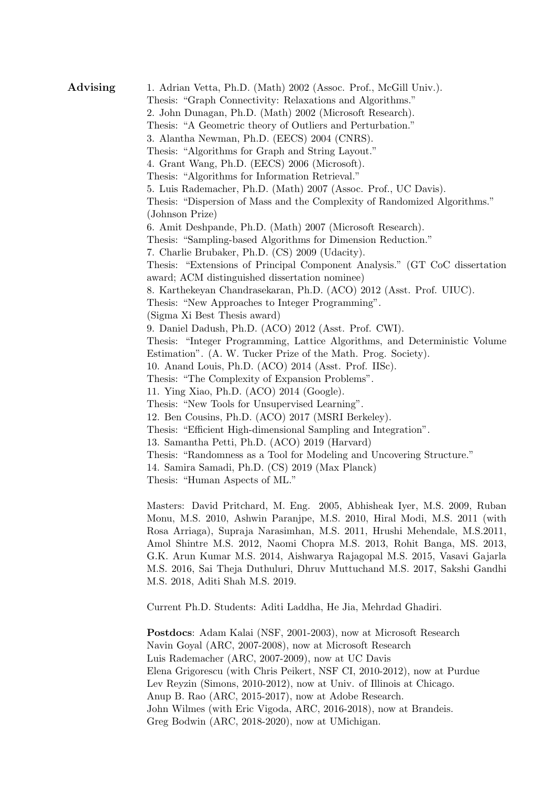Advising 1. Adrian Vetta, Ph.D. (Math) 2002 (Assoc. Prof., McGill Univ.). Thesis: "Graph Connectivity: Relaxations and Algorithms." 2. John Dunagan, Ph.D. (Math) 2002 (Microsoft Research). Thesis: "A Geometric theory of Outliers and Perturbation." 3. Alantha Newman, Ph.D. (EECS) 2004 (CNRS). Thesis: "Algorithms for Graph and String Layout." 4. Grant Wang, Ph.D. (EECS) 2006 (Microsoft). Thesis: "Algorithms for Information Retrieval." 5. Luis Rademacher, Ph.D. (Math) 2007 (Assoc. Prof., UC Davis). Thesis: "Dispersion of Mass and the Complexity of Randomized Algorithms." (Johnson Prize) 6. Amit Deshpande, Ph.D. (Math) 2007 (Microsoft Research). Thesis: "Sampling-based Algorithms for Dimension Reduction." 7. Charlie Brubaker, Ph.D. (CS) 2009 (Udacity). Thesis: "Extensions of Principal Component Analysis." (GT CoC dissertation award; ACM distinguished dissertation nominee) 8. Karthekeyan Chandrasekaran, Ph.D. (ACO) 2012 (Asst. Prof. UIUC). Thesis: "New Approaches to Integer Programming". (Sigma Xi Best Thesis award) 9. Daniel Dadush, Ph.D. (ACO) 2012 (Asst. Prof. CWI). Thesis: "Integer Programming, Lattice Algorithms, and Deterministic Volume Estimation". (A. W. Tucker Prize of the Math. Prog. Society). 10. Anand Louis, Ph.D. (ACO) 2014 (Asst. Prof. IISc). Thesis: "The Complexity of Expansion Problems". 11. Ying Xiao, Ph.D. (ACO) 2014 (Google). Thesis: "New Tools for Unsupervised Learning". 12. Ben Cousins, Ph.D. (ACO) 2017 (MSRI Berkeley). Thesis: "Efficient High-dimensional Sampling and Integration". 13. Samantha Petti, Ph.D. (ACO) 2019 (Harvard) Thesis: "Randomness as a Tool for Modeling and Uncovering Structure." 14. Samira Samadi, Ph.D. (CS) 2019 (Max Planck) Thesis: "Human Aspects of ML." Masters: David Pritchard, M. Eng. 2005, Abhisheak Iyer, M.S. 2009, Ruban Monu, M.S. 2010, Ashwin Paranjpe, M.S. 2010, Hiral Modi, M.S. 2011 (with

Rosa Arriaga), Supraja Narasimhan, M.S. 2011, Hrushi Mehendale, M.S.2011, Amol Shintre M.S. 2012, Naomi Chopra M.S. 2013, Rohit Banga, MS. 2013, G.K. Arun Kumar M.S. 2014, Aishwarya Rajagopal M.S. 2015, Vasavi Gajarla M.S. 2016, Sai Theja Duthuluri, Dhruv Muttuchand M.S. 2017, Sakshi Gandhi M.S. 2018, Aditi Shah M.S. 2019.

Current Ph.D. Students: Aditi Laddha, He Jia, Mehrdad Ghadiri.

Postdocs: Adam Kalai (NSF, 2001-2003), now at Microsoft Research Navin Goyal (ARC, 2007-2008), now at Microsoft Research Luis Rademacher (ARC, 2007-2009), now at UC Davis Elena Grigorescu (with Chris Peikert, NSF CI, 2010-2012), now at Purdue Lev Reyzin (Simons, 2010-2012), now at Univ. of Illinois at Chicago. Anup B. Rao (ARC, 2015-2017), now at Adobe Research. John Wilmes (with Eric Vigoda, ARC, 2016-2018), now at Brandeis. Greg Bodwin (ARC, 2018-2020), now at UMichigan.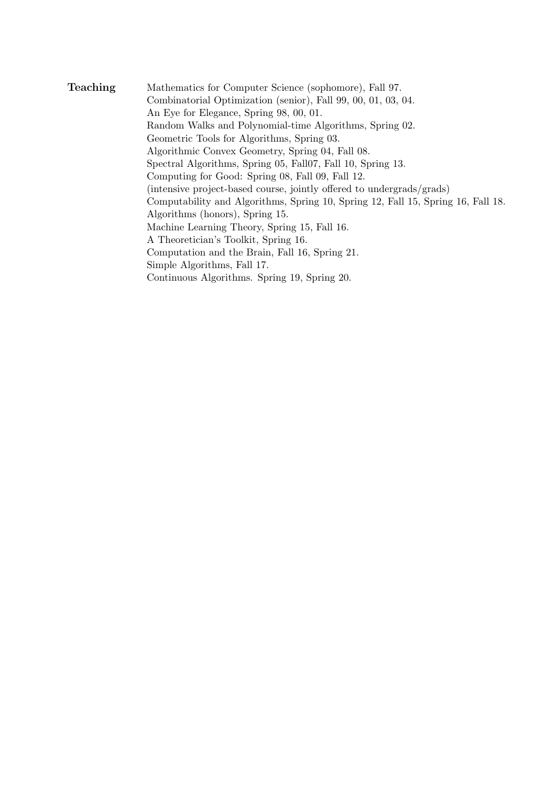Teaching Mathematics for Computer Science (sophomore), Fall 97. Combinatorial Optimization (senior), Fall 99, 00, 01, 03, 04. An Eye for Elegance, Spring 98, 00, 01. Random Walks and Polynomial-time Algorithms, Spring 02. Geometric Tools for Algorithms, Spring 03. Algorithmic Convex Geometry, Spring 04, Fall 08. Spectral Algorithms, Spring 05, Fall07, Fall 10, Spring 13. Computing for Good: Spring 08, Fall 09, Fall 12. (intensive project-based course, jointly offered to undergrads/grads) Computability and Algorithms, Spring 10, Spring 12, Fall 15, Spring 16, Fall 18. Algorithms (honors), Spring 15. Machine Learning Theory, Spring 15, Fall 16. A Theoretician's Toolkit, Spring 16. Computation and the Brain, Fall 16, Spring 21. Simple Algorithms, Fall 17. Continuous Algorithms. Spring 19, Spring 20.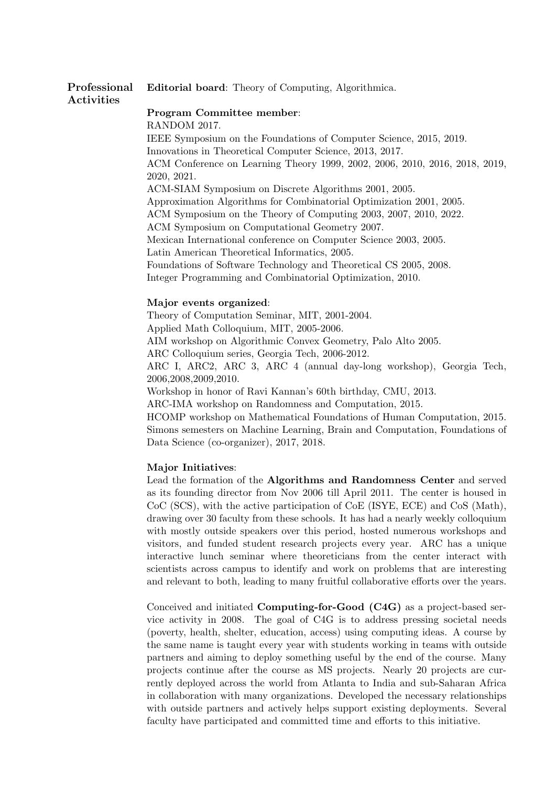#### Professional Activities Editorial board: Theory of Computing, Algorithmica.

Program Committee member: RANDOM 2017. IEEE Symposium on the Foundations of Computer Science, 2015, 2019. Innovations in Theoretical Computer Science, 2013, 2017. ACM Conference on Learning Theory 1999, 2002, 2006, 2010, 2016, 2018, 2019, 2020, 2021. ACM-SIAM Symposium on Discrete Algorithms 2001, 2005. Approximation Algorithms for Combinatorial Optimization 2001, 2005. ACM Symposium on the Theory of Computing 2003, 2007, 2010, 2022. ACM Symposium on Computational Geometry 2007. Mexican International conference on Computer Science 2003, 2005. Latin American Theoretical Informatics, 2005. Foundations of Software Technology and Theoretical CS 2005, 2008. Integer Programming and Combinatorial Optimization, 2010.

# Major events organized:

Theory of Computation Seminar, MIT, 2001-2004. Applied Math Colloquium, MIT, 2005-2006. AIM workshop on Algorithmic Convex Geometry, Palo Alto 2005. ARC Colloquium series, Georgia Tech, 2006-2012. ARC I, ARC2, ARC 3, ARC 4 (annual day-long workshop), Georgia Tech, 2006,2008,2009,2010. Workshop in honor of Ravi Kannan's 60th birthday, CMU, 2013. ARC-IMA workshop on Randomness and Computation, 2015.

HCOMP workshop on Mathematical Foundations of Human Computation, 2015. Simons semesters on Machine Learning, Brain and Computation, Foundations of Data Science (co-organizer), 2017, 2018.

# Major Initiatives:

Lead the formation of the Algorithms and Randomness Center and served as its founding director from Nov 2006 till April 2011. The center is housed in CoC (SCS), with the active participation of CoE (ISYE, ECE) and CoS (Math), drawing over 30 faculty from these schools. It has had a nearly weekly colloquium with mostly outside speakers over this period, hosted numerous workshops and visitors, and funded student research projects every year. ARC has a unique interactive lunch seminar where theoreticians from the center interact with scientists across campus to identify and work on problems that are interesting and relevant to both, leading to many fruitful collaborative efforts over the years.

Conceived and initiated Computing-for-Good (C4G) as a project-based service activity in 2008. The goal of C4G is to address pressing societal needs (poverty, health, shelter, education, access) using computing ideas. A course by the same name is taught every year with students working in teams with outside partners and aiming to deploy something useful by the end of the course. Many projects continue after the course as MS projects. Nearly 20 projects are currently deployed across the world from Atlanta to India and sub-Saharan Africa in collaboration with many organizations. Developed the necessary relationships with outside partners and actively helps support existing deployments. Several faculty have participated and committed time and efforts to this initiative.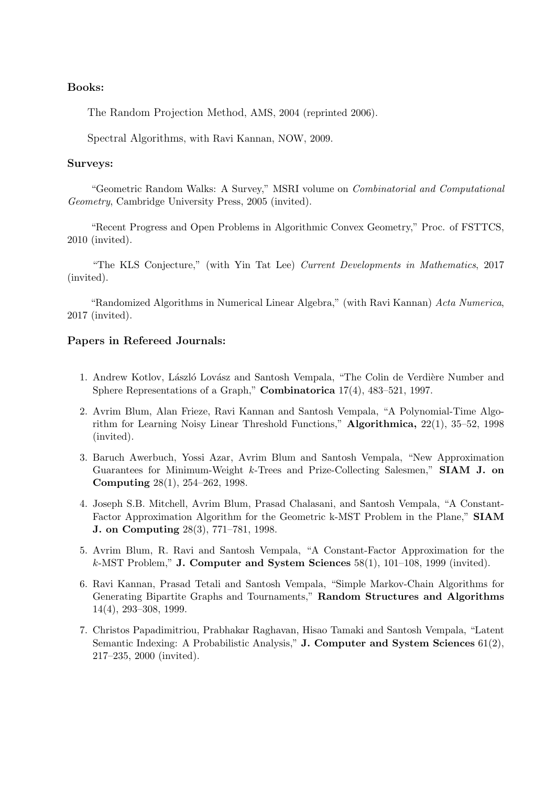# Books:

The Random Projection Method, AMS, 2004 (reprinted 2006).

Spectral Algorithms, with Ravi Kannan, NOW, 2009.

## Surveys:

"Geometric Random Walks: A Survey," MSRI volume on Combinatorial and Computational Geometry, Cambridge University Press, 2005 (invited).

"Recent Progress and Open Problems in Algorithmic Convex Geometry," Proc. of FSTTCS, 2010 (invited).

"The KLS Conjecture," (with Yin Tat Lee) Current Developments in Mathematics, 2017 (invited).

"Randomized Algorithms in Numerical Linear Algebra," (with Ravi Kannan) Acta Numerica, 2017 (invited).

# Papers in Refereed Journals:

- 1. Andrew Kotlov, László Lovász and Santosh Vempala, "The Colin de Verdière Number and Sphere Representations of a Graph," Combinatorica 17(4), 483–521, 1997.
- 2. Avrim Blum, Alan Frieze, Ravi Kannan and Santosh Vempala, "A Polynomial-Time Algorithm for Learning Noisy Linear Threshold Functions," Algorithmica, 22(1), 35–52, 1998 (invited).
- 3. Baruch Awerbuch, Yossi Azar, Avrim Blum and Santosh Vempala, "New Approximation Guarantees for Minimum-Weight  $k$ -Trees and Prize-Collecting Salesmen," **SIAM J. on** Computing 28(1), 254–262, 1998.
- 4. Joseph S.B. Mitchell, Avrim Blum, Prasad Chalasani, and Santosh Vempala, "A Constant-Factor Approximation Algorithm for the Geometric k-MST Problem in the Plane," SIAM J. on Computing 28(3), 771–781, 1998.
- 5. Avrim Blum, R. Ravi and Santosh Vempala, "A Constant-Factor Approximation for the  $k$ -MST Problem," **J. Computer and System Sciences** 58(1), 101–108, 1999 (invited).
- 6. Ravi Kannan, Prasad Tetali and Santosh Vempala, "Simple Markov-Chain Algorithms for Generating Bipartite Graphs and Tournaments," Random Structures and Algorithms 14(4), 293–308, 1999.
- 7. Christos Papadimitriou, Prabhakar Raghavan, Hisao Tamaki and Santosh Vempala, "Latent Semantic Indexing: A Probabilistic Analysis," J. Computer and System Sciences 61(2), 217–235, 2000 (invited).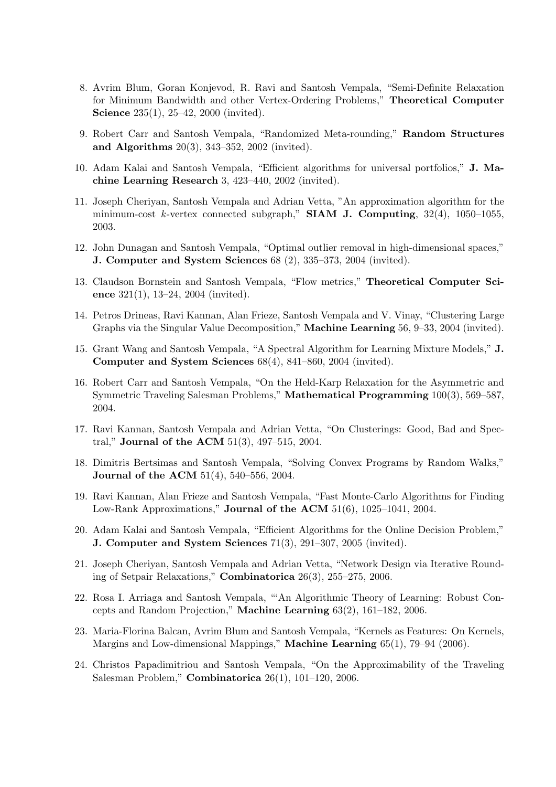- 8. Avrim Blum, Goran Konjevod, R. Ravi and Santosh Vempala, "Semi-Definite Relaxation for Minimum Bandwidth and other Vertex-Ordering Problems," Theoretical Computer **Science** 235(1), 25–42, 2000 (invited).
- 9. Robert Carr and Santosh Vempala, "Randomized Meta-rounding," Random Structures and Algorithms 20(3), 343–352, 2002 (invited).
- 10. Adam Kalai and Santosh Vempala, "Efficient algorithms for universal portfolios," J. Machine Learning Research 3, 423–440, 2002 (invited).
- 11. Joseph Cheriyan, Santosh Vempala and Adrian Vetta, "An approximation algorithm for the minimum-cost k-vertex connected subgraph," SIAM J. Computing,  $32(4)$ ,  $1050-1055$ , 2003.
- 12. John Dunagan and Santosh Vempala, "Optimal outlier removal in high-dimensional spaces," J. Computer and System Sciences 68 (2), 335–373, 2004 (invited).
- 13. Claudson Bornstein and Santosh Vempala, "Flow metrics," Theoretical Computer Science 321(1), 13–24, 2004 (invited).
- 14. Petros Drineas, Ravi Kannan, Alan Frieze, Santosh Vempala and V. Vinay, "Clustering Large Graphs via the Singular Value Decomposition," Machine Learning 56, 9–33, 2004 (invited).
- 15. Grant Wang and Santosh Vempala, "A Spectral Algorithm for Learning Mixture Models," J. Computer and System Sciences 68(4), 841–860, 2004 (invited).
- 16. Robert Carr and Santosh Vempala, "On the Held-Karp Relaxation for the Asymmetric and Symmetric Traveling Salesman Problems," Mathematical Programming 100(3), 569–587, 2004.
- 17. Ravi Kannan, Santosh Vempala and Adrian Vetta, "On Clusterings: Good, Bad and Spectral," Journal of the ACM 51(3), 497–515, 2004.
- 18. Dimitris Bertsimas and Santosh Vempala, "Solving Convex Programs by Random Walks," Journal of the ACM 51(4), 540–556, 2004.
- 19. Ravi Kannan, Alan Frieze and Santosh Vempala, "Fast Monte-Carlo Algorithms for Finding Low-Rank Approximations," Journal of the ACM 51(6), 1025–1041, 2004.
- 20. Adam Kalai and Santosh Vempala, "Efficient Algorithms for the Online Decision Problem," J. Computer and System Sciences 71(3), 291–307, 2005 (invited).
- 21. Joseph Cheriyan, Santosh Vempala and Adrian Vetta, "Network Design via Iterative Rounding of Setpair Relaxations," Combinatorica 26(3), 255–275, 2006.
- 22. Rosa I. Arriaga and Santosh Vempala, "'An Algorithmic Theory of Learning: Robust Concepts and Random Projection," Machine Learning 63(2), 161–182, 2006.
- 23. Maria-Florina Balcan, Avrim Blum and Santosh Vempala, "Kernels as Features: On Kernels, Margins and Low-dimensional Mappings," Machine Learning 65(1), 79–94 (2006).
- 24. Christos Papadimitriou and Santosh Vempala, "On the Approximability of the Traveling Salesman Problem," Combinatorica 26(1), 101–120, 2006.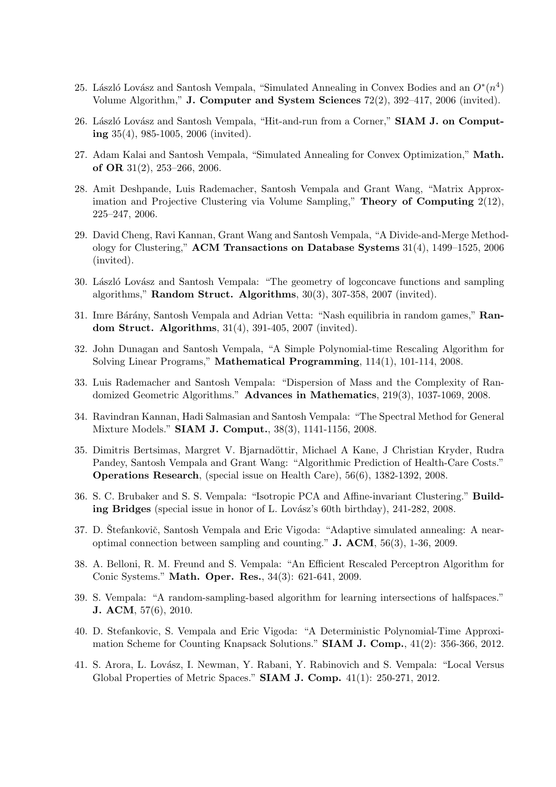- 25. László Lovász and Santosh Vempala, "Simulated Annealing in Convex Bodies and an  $O^*(n^4)$ Volume Algorithm," J. Computer and System Sciences 72(2), 392–417, 2006 (invited).
- 26. László Lovász and Santosh Vempala, "Hit-and-run from a Corner," SIAM J. on Computing 35(4), 985-1005, 2006 (invited).
- 27. Adam Kalai and Santosh Vempala, "Simulated Annealing for Convex Optimization," Math. of OR 31(2), 253–266, 2006.
- 28. Amit Deshpande, Luis Rademacher, Santosh Vempala and Grant Wang, "Matrix Approximation and Projective Clustering via Volume Sampling," Theory of Computing 2(12), 225–247, 2006.
- 29. David Cheng, Ravi Kannan, Grant Wang and Santosh Vempala, "A Divide-and-Merge Methodology for Clustering," ACM Transactions on Database Systems 31(4), 1499–1525, 2006 (invited).
- 30. László Lovász and Santosh Vempala: "The geometry of logconcave functions and sampling algorithms," Random Struct. Algorithms, 30(3), 307-358, 2007 (invited).
- 31. Imre Bárány, Santosh Vempala and Adrian Vetta: "Nash equilibria in random games," Random Struct. Algorithms, 31(4), 391-405, 2007 (invited).
- 32. John Dunagan and Santosh Vempala, "A Simple Polynomial-time Rescaling Algorithm for Solving Linear Programs," Mathematical Programming, 114(1), 101-114, 2008.
- 33. Luis Rademacher and Santosh Vempala: "Dispersion of Mass and the Complexity of Randomized Geometric Algorithms." Advances in Mathematics, 219(3), 1037-1069, 2008.
- 34. Ravindran Kannan, Hadi Salmasian and Santosh Vempala: "The Spectral Method for General Mixture Models." SIAM J. Comput., 38(3), 1141-1156, 2008.
- 35. Dimitris Bertsimas, Margret V. Bjarnadöttir, Michael A Kane, J Christian Kryder, Rudra Pandey, Santosh Vempala and Grant Wang: "Algorithmic Prediction of Health-Care Costs." Operations Research, (special issue on Health Care), 56(6), 1382-1392, 2008.
- 36. S. C. Brubaker and S. S. Vempala: "Isotropic PCA and Affine-invariant Clustering." Building Bridges (special issue in honor of L. Lovász's 60th birthday),  $241-282$ ,  $2008$ .
- 37. D. Štefankovič, Santosh Vempala and Eric Vigoda: "Adaptive simulated annealing: A nearoptimal connection between sampling and counting." J. ACM, 56(3), 1-36, 2009.
- 38. A. Belloni, R. M. Freund and S. Vempala: "An Efficient Rescaled Perceptron Algorithm for Conic Systems." Math. Oper. Res., 34(3): 621-641, 2009.
- 39. S. Vempala: "A random-sampling-based algorithm for learning intersections of halfspaces." J. ACM, 57(6), 2010.
- 40. D. Stefankovic, S. Vempala and Eric Vigoda: "A Deterministic Polynomial-Time Approximation Scheme for Counting Knapsack Solutions." SIAM J. Comp., 41(2): 356-366, 2012.
- 41. S. Arora, L. Lovász, I. Newman, Y. Rabani, Y. Rabinovich and S. Vempala: "Local Versus Global Properties of Metric Spaces." SIAM J. Comp. 41(1): 250-271, 2012.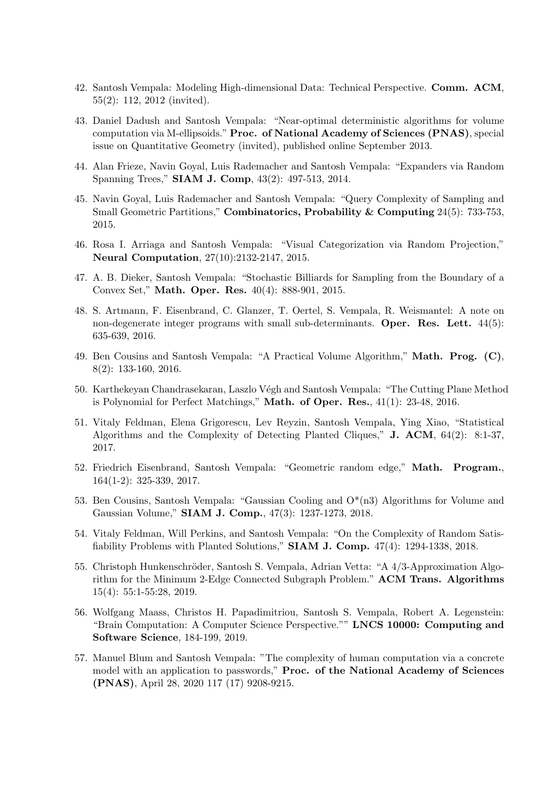- 42. Santosh Vempala: Modeling High-dimensional Data: Technical Perspective. Comm. ACM, 55(2): 112, 2012 (invited).
- 43. Daniel Dadush and Santosh Vempala: "Near-optimal deterministic algorithms for volume computation via M-ellipsoids." Proc. of National Academy of Sciences (PNAS), special issue on Quantitative Geometry (invited), published online September 2013.
- 44. Alan Frieze, Navin Goyal, Luis Rademacher and Santosh Vempala: "Expanders via Random Spanning Trees," SIAM J. Comp, 43(2): 497-513, 2014.
- 45. Navin Goyal, Luis Rademacher and Santosh Vempala: "Query Complexity of Sampling and Small Geometric Partitions," Combinatorics, Probability & Computing 24(5): 733-753, 2015.
- 46. Rosa I. Arriaga and Santosh Vempala: "Visual Categorization via Random Projection," Neural Computation, 27(10):2132-2147, 2015.
- 47. A. B. Dieker, Santosh Vempala: "Stochastic Billiards for Sampling from the Boundary of a Convex Set," Math. Oper. Res. 40(4): 888-901, 2015.
- 48. S. Artmann, F. Eisenbrand, C. Glanzer, T. Oertel, S. Vempala, R. Weismantel: A note on non-degenerate integer programs with small sub-determinants. Oper. Res. Lett.  $44(5)$ : 635-639, 2016.
- 49. Ben Cousins and Santosh Vempala: "A Practical Volume Algorithm," Math. Prog. (C), 8(2): 133-160, 2016.
- 50. Karthekeyan Chandrasekaran, Laszlo Végh and Santosh Vempala: "The Cutting Plane Method is Polynomial for Perfect Matchings," Math. of Oper. Res., 41(1): 23-48, 2016.
- 51. Vitaly Feldman, Elena Grigorescu, Lev Reyzin, Santosh Vempala, Ying Xiao, "Statistical Algorithms and the Complexity of Detecting Planted Cliques," J. ACM, 64(2): 8:1-37, 2017.
- 52. Friedrich Eisenbrand, Santosh Vempala: "Geometric random edge," Math. Program., 164(1-2): 325-339, 2017.
- 53. Ben Cousins, Santosh Vempala: "Gaussian Cooling and  $O^*(n3)$  Algorithms for Volume and Gaussian Volume," SIAM J. Comp., 47(3): 1237-1273, 2018.
- 54. Vitaly Feldman, Will Perkins, and Santosh Vempala: "On the Complexity of Random Satisfiability Problems with Planted Solutions," SIAM J. Comp. 47(4): 1294-1338, 2018.
- 55. Christoph Hunkenschröder, Santosh S. Vempala, Adrian Vetta: "A 4/3-Approximation Algorithm for the Minimum 2-Edge Connected Subgraph Problem." ACM Trans. Algorithms 15(4): 55:1-55:28, 2019.
- 56. Wolfgang Maass, Christos H. Papadimitriou, Santosh S. Vempala, Robert A. Legenstein: "Brain Computation: A Computer Science Perspective."" LNCS 10000: Computing and Software Science, 184-199, 2019.
- 57. Manuel Blum and Santosh Vempala: "The complexity of human computation via a concrete model with an application to passwords," Proc. of the National Academy of Sciences (PNAS), April 28, 2020 117 (17) 9208-9215.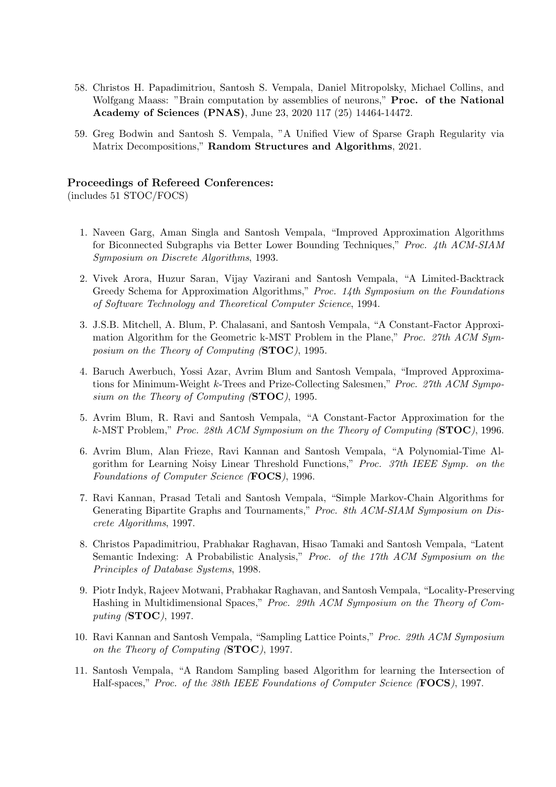- 58. Christos H. Papadimitriou, Santosh S. Vempala, Daniel Mitropolsky, Michael Collins, and Wolfgang Maass: "Brain computation by assemblies of neurons," **Proc. of the National** Academy of Sciences (PNAS), June 23, 2020 117 (25) 14464-14472.
- 59. Greg Bodwin and Santosh S. Vempala, "A Unified View of Sparse Graph Regularity via Matrix Decompositions," Random Structures and Algorithms, 2021.

## Proceedings of Refereed Conferences:

(includes 51 STOC/FOCS)

- 1. Naveen Garg, Aman Singla and Santosh Vempala, "Improved Approximation Algorithms for Biconnected Subgraphs via Better Lower Bounding Techniques," Proc. 4th ACM-SIAM Symposium on Discrete Algorithms, 1993.
- 2. Vivek Arora, Huzur Saran, Vijay Vazirani and Santosh Vempala, "A Limited-Backtrack Greedy Schema for Approximation Algorithms," Proc. 14th Symposium on the Foundations of Software Technology and Theoretical Computer Science, 1994.
- 3. J.S.B. Mitchell, A. Blum, P. Chalasani, and Santosh Vempala, "A Constant-Factor Approximation Algorithm for the Geometric k-MST Problem in the Plane," Proc. 27th ACM Symposium on the Theory of Computing (STOC), 1995.
- 4. Baruch Awerbuch, Yossi Azar, Avrim Blum and Santosh Vempala, "Improved Approximations for Minimum-Weight k-Trees and Prize-Collecting Salesmen," Proc. 27th ACM Symposium on the Theory of Computing (STOC), 1995.
- 5. Avrim Blum, R. Ravi and Santosh Vempala, "A Constant-Factor Approximation for the k-MST Problem," Proc. 28th ACM Symposium on the Theory of Computing  $(\text{STOC})$ , 1996.
- 6. Avrim Blum, Alan Frieze, Ravi Kannan and Santosh Vempala, "A Polynomial-Time Algorithm for Learning Noisy Linear Threshold Functions," Proc. 37th IEEE Symp. on the Foundations of Computer Science (FOCS), 1996.
- 7. Ravi Kannan, Prasad Tetali and Santosh Vempala, "Simple Markov-Chain Algorithms for Generating Bipartite Graphs and Tournaments," Proc. 8th ACM-SIAM Symposium on Discrete Algorithms, 1997.
- 8. Christos Papadimitriou, Prabhakar Raghavan, Hisao Tamaki and Santosh Vempala, "Latent Semantic Indexing: A Probabilistic Analysis," Proc. of the 17th ACM Symposium on the Principles of Database Systems, 1998.
- 9. Piotr Indyk, Rajeev Motwani, Prabhakar Raghavan, and Santosh Vempala, "Locality-Preserving Hashing in Multidimensional Spaces," Proc. 29th ACM Symposium on the Theory of Computing (STOC), 1997.
- 10. Ravi Kannan and Santosh Vempala, "Sampling Lattice Points," Proc. 29th ACM Symposium on the Theory of Computing (STOC), 1997.
- 11. Santosh Vempala, "A Random Sampling based Algorithm for learning the Intersection of Half-spaces," Proc. of the 38th IEEE Foundations of Computer Science (FOCS), 1997.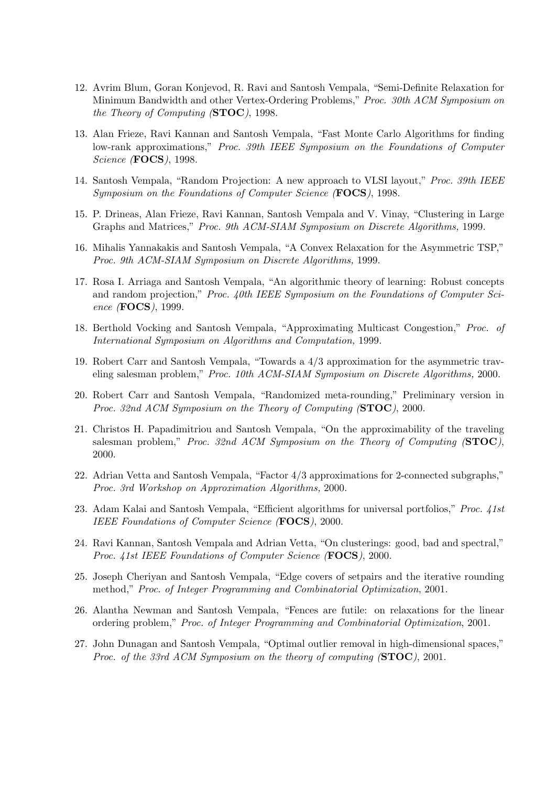- 12. Avrim Blum, Goran Konjevod, R. Ravi and Santosh Vempala, "Semi-Definite Relaxation for Minimum Bandwidth and other Vertex-Ordering Problems," Proc. 30th ACM Symposium on the Theory of Computing (STOC), 1998.
- 13. Alan Frieze, Ravi Kannan and Santosh Vempala, "Fast Monte Carlo Algorithms for finding low-rank approximations," Proc. 39th IEEE Symposium on the Foundations of Computer Science (FOCS), 1998.
- 14. Santosh Vempala, "Random Projection: A new approach to VLSI layout," Proc. 39th IEEE Symposium on the Foundations of Computer Science (FOCS), 1998.
- 15. P. Drineas, Alan Frieze, Ravi Kannan, Santosh Vempala and V. Vinay, "Clustering in Large Graphs and Matrices," Proc. 9th ACM-SIAM Symposium on Discrete Algorithms, 1999.
- 16. Mihalis Yannakakis and Santosh Vempala, "A Convex Relaxation for the Asymmetric TSP," Proc. 9th ACM-SIAM Symposium on Discrete Algorithms, 1999.
- 17. Rosa I. Arriaga and Santosh Vempala, "An algorithmic theory of learning: Robust concepts and random projection," Proc. 40th IEEE Symposium on the Foundations of Computer Science (FOCS), 1999.
- 18. Berthold Vocking and Santosh Vempala, "Approximating Multicast Congestion," Proc. of International Symposium on Algorithms and Computation, 1999.
- 19. Robert Carr and Santosh Vempala, "Towards a 4/3 approximation for the asymmetric traveling salesman problem," Proc. 10th ACM-SIAM Symposium on Discrete Algorithms, 2000.
- 20. Robert Carr and Santosh Vempala, "Randomized meta-rounding," Preliminary version in Proc. 32nd ACM Symposium on the Theory of Computing (STOC), 2000.
- 21. Christos H. Papadimitriou and Santosh Vempala, "On the approximability of the traveling salesman problem," Proc. 32nd ACM Symposium on the Theory of Computing  $(\text{STOC})$ , 2000.
- 22. Adrian Vetta and Santosh Vempala, "Factor 4/3 approximations for 2-connected subgraphs," Proc. 3rd Workshop on Approximation Algorithms, 2000.
- 23. Adam Kalai and Santosh Vempala, "Efficient algorithms for universal portfolios," Proc. 41st IEEE Foundations of Computer Science (**FOCS**), 2000.
- 24. Ravi Kannan, Santosh Vempala and Adrian Vetta, "On clusterings: good, bad and spectral," Proc. 41st IEEE Foundations of Computer Science (FOCS), 2000.
- 25. Joseph Cheriyan and Santosh Vempala, "Edge covers of setpairs and the iterative rounding method," Proc. of Integer Programming and Combinatorial Optimization, 2001.
- 26. Alantha Newman and Santosh Vempala, "Fences are futile: on relaxations for the linear ordering problem," Proc. of Integer Programming and Combinatorial Optimization, 2001.
- 27. John Dunagan and Santosh Vempala, "Optimal outlier removal in high-dimensional spaces," Proc. of the 33rd ACM Symposium on the theory of computing (STOC), 2001.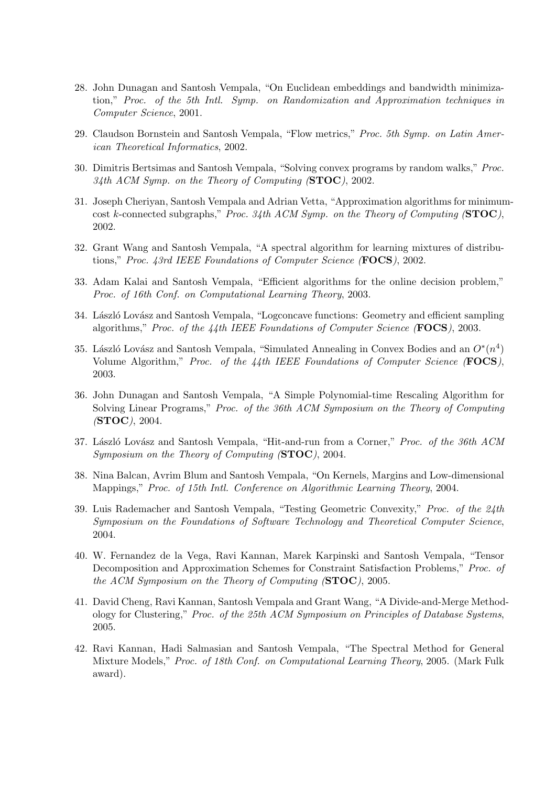- 28. John Dunagan and Santosh Vempala, "On Euclidean embeddings and bandwidth minimization," Proc. of the 5th Intl. Symp. on Randomization and Approximation techniques in Computer Science, 2001.
- 29. Claudson Bornstein and Santosh Vempala, "Flow metrics," Proc. 5th Symp. on Latin American Theoretical Informatics, 2002.
- 30. Dimitris Bertsimas and Santosh Vempala, "Solving convex programs by random walks," Proc. 34th ACM Symp. on the Theory of Computing  $(\text{STOC})$ , 2002.
- 31. Joseph Cheriyan, Santosh Vempala and Adrian Vetta, "Approximation algorithms for minimumcost k-connected subgraphs," Proc. 34th ACM Symp. on the Theory of Computing  $(\text{STOC})$ , 2002.
- 32. Grant Wang and Santosh Vempala, "A spectral algorithm for learning mixtures of distributions," Proc. 43rd IEEE Foundations of Computer Science (FOCS), 2002.
- 33. Adam Kalai and Santosh Vempala, "Efficient algorithms for the online decision problem," Proc. of 16th Conf. on Computational Learning Theory, 2003.
- 34. László Lovász and Santosh Vempala, "Logconcave functions: Geometry and efficient sampling algorithms," Proc. of the 44th IEEE Foundations of Computer Science (FOCS), 2003.
- 35. László Lovász and Santosh Vempala, "Simulated Annealing in Convex Bodies and an  $O^*(n^4)$ Volume Algorithm," Proc. of the 44th IEEE Foundations of Computer Science (FOCS), 2003.
- 36. John Dunagan and Santosh Vempala, "A Simple Polynomial-time Rescaling Algorithm for Solving Linear Programs," Proc. of the 36th ACM Symposium on the Theory of Computing (STOC), 2004.
- 37. László Lovász and Santosh Vempala, "Hit-and-run from a Corner," Proc. of the 36th ACM Symposium on the Theory of Computing (STOC), 2004.
- 38. Nina Balcan, Avrim Blum and Santosh Vempala, "On Kernels, Margins and Low-dimensional Mappings," Proc. of 15th Intl. Conference on Algorithmic Learning Theory, 2004.
- 39. Luis Rademacher and Santosh Vempala, "Testing Geometric Convexity," Proc. of the 24th Symposium on the Foundations of Software Technology and Theoretical Computer Science, 2004.
- 40. W. Fernandez de la Vega, Ravi Kannan, Marek Karpinski and Santosh Vempala, "Tensor Decomposition and Approximation Schemes for Constraint Satisfaction Problems," Proc. of the ACM Symposium on the Theory of Computing (STOC), 2005.
- 41. David Cheng, Ravi Kannan, Santosh Vempala and Grant Wang, "A Divide-and-Merge Methodology for Clustering," Proc. of the 25th ACM Symposium on Principles of Database Systems, 2005.
- 42. Ravi Kannan, Hadi Salmasian and Santosh Vempala, "The Spectral Method for General Mixture Models," Proc. of 18th Conf. on Computational Learning Theory, 2005. (Mark Fulk award).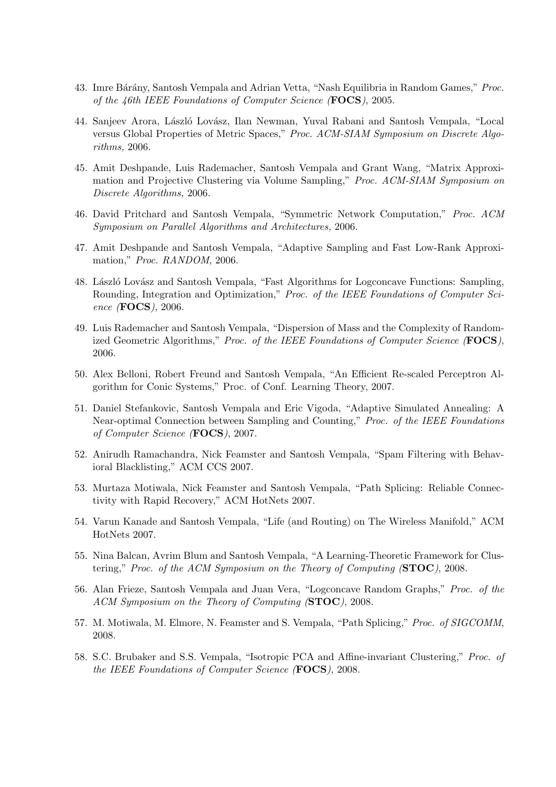- 43. Imre Bárány, Santosh Vempala and Adrian Vetta, "Nash Equilibria in Random Games," Proc. of the 46th IEEE Foundations of Computer Science (FOCS), 2005.
- 44. Sanjeev Arora, László Lovász, Ilan Newman, Yuval Rabani and Santosh Vempala, "Local versus Global Properties of Metric Spaces," Proc. ACM-SIAM Symposium on Discrete Algorithms, 2006.
- 45. Amit Deshpande, Luis Rademacher, Santosh Vempala and Grant Wang, "Matrix Approximation and Projective Clustering via Volume Sampling," Proc. ACM-SIAM Symposium on Discrete Algorithms, 2006.
- 46. David Pritchard and Santosh Vempala, "Symmetric Network Computation," Proc. ACM Symposium on Parallel Algorithms and Architectures, 2006.
- 47. Amit Deshpande and Santosh Vempala, "Adaptive Sampling and Fast Low-Rank Approximation," Proc. RANDOM, 2006.
- 48. László Lovász and Santosh Vempala, "Fast Algorithms for Logconcave Functions: Sampling, Rounding, Integration and Optimization," Proc. of the IEEE Foundations of Computer Science (FOCS), 2006.
- 49. Luis Rademacher and Santosh Vempala, "Dispersion of Mass and the Complexity of Randomized Geometric Algorithms," Proc. of the IEEE Foundations of Computer Science (FOCS), 2006.
- 50. Alex Belloni, Robert Freund and Santosh Vempala, "An Efficient Re-scaled Perceptron Algorithm for Conic Systems," Proc. of Conf. Learning Theory, 2007.
- 51. Daniel Stefankovic, Santosh Vempala and Eric Vigoda, "Adaptive Simulated Annealing: A Near-optimal Connection between Sampling and Counting," Proc. of the IEEE Foundations of Computer Science (FOCS), 2007.
- 52. Anirudh Ramachandra, Nick Feamster and Santosh Vempala, "Spam Filtering with Behavioral Blacklisting," ACM CCS 2007.
- 53. Murtaza Motiwala, Nick Feamster and Santosh Vempala, "Path Splicing: Reliable Connectivity with Rapid Recovery," ACM HotNets 2007.
- 54. Varun Kanade and Santosh Vempala, "Life (and Routing) on The Wireless Manifold," ACM HotNets 2007.
- 55. Nina Balcan, Avrim Blum and Santosh Vempala, "A Learning-Theoretic Framework for Clustering," Proc. of the ACM Symposium on the Theory of Computing  $(\text{STOC})$ , 2008.
- 56. Alan Frieze, Santosh Vempala and Juan Vera, "Logconcave Random Graphs," Proc. of the ACM Symposium on the Theory of Computing (STOC), 2008.
- 57. M. Motiwala, M. Elmore, N. Feamster and S. Vempala, "Path Splicing," Proc. of SIGCOMM, 2008.
- 58. S.C. Brubaker and S.S. Vempala, "Isotropic PCA and Affine-invariant Clustering," Proc. of the IEEE Foundations of Computer Science (FOCS), 2008.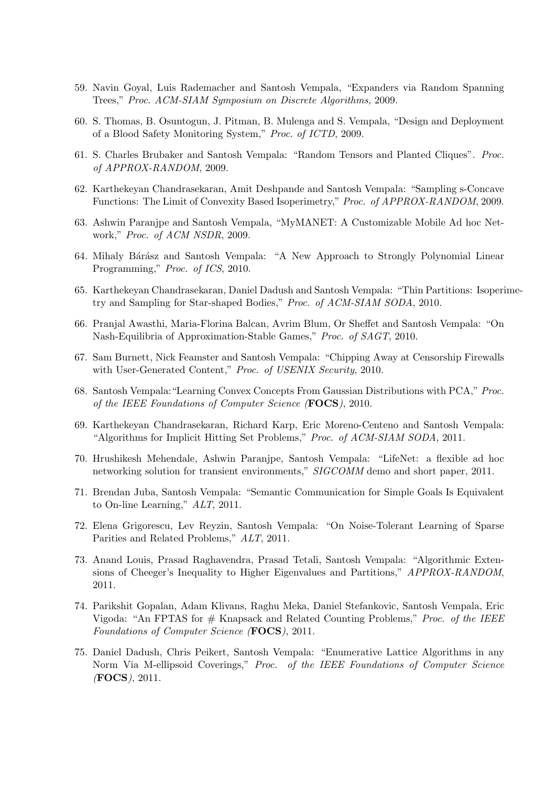- 59. Navin Goyal, Luis Rademacher and Santosh Vempala, "Expanders via Random Spanning Trees," Proc. ACM-SIAM Symposium on Discrete Algorithms, 2009.
- 60. S. Thomas, B. Osuntogun, J. Pitman, B. Mulenga and S. Vempala, "Design and Deployment of a Blood Safety Monitoring System," Proc. of ICTD, 2009.
- 61. S. Charles Brubaker and Santosh Vempala: "Random Tensors and Planted Cliques". Proc. of APPROX-RANDOM, 2009.
- 62. Karthekeyan Chandrasekaran, Amit Deshpande and Santosh Vempala: "Sampling s-Concave Functions: The Limit of Convexity Based Isoperimetry," Proc. of APPROX-RANDOM, 2009.
- 63. Ashwin Paranjpe and Santosh Vempala, "MyMANET: A Customizable Mobile Ad hoc Network," Proc. of ACM NSDR, 2009.
- 64. Mihaly Bárász and Santosh Vempala: "A New Approach to Strongly Polynomial Linear Programming," Proc. of ICS, 2010.
- 65. Karthekeyan Chandrasekaran, Daniel Dadush and Santosh Vempala: "Thin Partitions: Isoperimetry and Sampling for Star-shaped Bodies," Proc. of ACM-SIAM SODA, 2010.
- 66. Pranjal Awasthi, Maria-Florina Balcan, Avrim Blum, Or Sheffet and Santosh Vempala: "On Nash-Equilibria of Approximation-Stable Games," Proc. of SAGT, 2010.
- 67. Sam Burnett, Nick Feamster and Santosh Vempala: "Chipping Away at Censorship Firewalls with User-Generated Content," Proc. of USENIX Security, 2010.
- 68. Santosh Vempala:"Learning Convex Concepts From Gaussian Distributions with PCA," Proc. of the IEEE Foundations of Computer Science (FOCS), 2010.
- 69. Karthekeyan Chandrasekaran, Richard Karp, Eric Moreno-Centeno and Santosh Vempala: "Algorithms for Implicit Hitting Set Problems," Proc. of ACM-SIAM SODA, 2011.
- 70. Hrushikesh Mehendale, Ashwin Paranjpe, Santosh Vempala: "LifeNet: a flexible ad hoc networking solution for transient environments," SIGCOMM demo and short paper, 2011.
- 71. Brendan Juba, Santosh Vempala: "Semantic Communication for Simple Goals Is Equivalent to On-line Learning," ALT, 2011.
- 72. Elena Grigorescu, Lev Reyzin, Santosh Vempala: "On Noise-Tolerant Learning of Sparse Parities and Related Problems," ALT, 2011.
- 73. Anand Louis, Prasad Raghavendra, Prasad Tetali, Santosh Vempala: "Algorithmic Extensions of Cheeger's Inequality to Higher Eigenvalues and Partitions," APPROX-RANDOM, 2011.
- 74. Parikshit Gopalan, Adam Klivans, Raghu Meka, Daniel Stefankovic, Santosh Vempala, Eric Vigoda: "An FPTAS for  $#$  Knapsack and Related Counting Problems," *Proc. of the IEEE* Foundations of Computer Science (FOCS), 2011.
- 75. Daniel Dadush, Chris Peikert, Santosh Vempala: "Enumerative Lattice Algorithms in any Norm Via M-ellipsoid Coverings," Proc. of the IEEE Foundations of Computer Science (FOCS), 2011.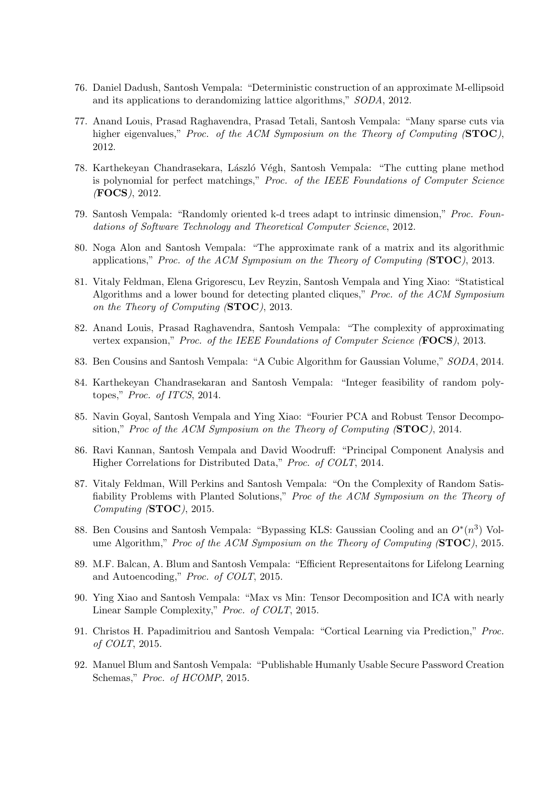- 76. Daniel Dadush, Santosh Vempala: "Deterministic construction of an approximate M-ellipsoid and its applications to derandomizing lattice algorithms," SODA, 2012.
- 77. Anand Louis, Prasad Raghavendra, Prasad Tetali, Santosh Vempala: "Many sparse cuts via higher eigenvalues," Proc. of the ACM Symposium on the Theory of Computing (STOC), 2012.
- 78. Karthekeyan Chandrasekara, László Végh, Santosh Vempala: "The cutting plane method is polynomial for perfect matchings," Proc. of the IEEE Foundations of Computer Science (FOCS), 2012.
- 79. Santosh Vempala: "Randomly oriented k-d trees adapt to intrinsic dimension," Proc. Foundations of Software Technology and Theoretical Computer Science, 2012.
- 80. Noga Alon and Santosh Vempala: "The approximate rank of a matrix and its algorithmic applications," Proc. of the ACM Symposium on the Theory of Computing (STOC), 2013.
- 81. Vitaly Feldman, Elena Grigorescu, Lev Reyzin, Santosh Vempala and Ying Xiao: "Statistical Algorithms and a lower bound for detecting planted cliques," Proc. of the ACM Symposium on the Theory of Computing (STOC), 2013.
- 82. Anand Louis, Prasad Raghavendra, Santosh Vempala: "The complexity of approximating vertex expansion," Proc. of the IEEE Foundations of Computer Science (**FOCS**), 2013.
- 83. Ben Cousins and Santosh Vempala: "A Cubic Algorithm for Gaussian Volume," SODA, 2014.
- 84. Karthekeyan Chandrasekaran and Santosh Vempala: "Integer feasibility of random polytopes," Proc. of ITCS, 2014.
- 85. Navin Goyal, Santosh Vempala and Ying Xiao: "Fourier PCA and Robust Tensor Decomposition," Proc of the ACM Symposium on the Theory of Computing  $(\text{STOC})$ , 2014.
- 86. Ravi Kannan, Santosh Vempala and David Woodruff: "Principal Component Analysis and Higher Correlations for Distributed Data," Proc. of COLT, 2014.
- 87. Vitaly Feldman, Will Perkins and Santosh Vempala: "On the Complexity of Random Satisfiability Problems with Planted Solutions," Proc of the ACM Symposium on the Theory of Computing (STOC), 2015.
- 88. Ben Cousins and Santosh Vempala: "Bypassing KLS: Gaussian Cooling and an  $O^*(n^3)$  Volume Algorithm," Proc of the ACM Symposium on the Theory of Computing  $(\text{STOC})$ , 2015.
- 89. M.F. Balcan, A. Blum and Santosh Vempala: "Efficient Representaitons for Lifelong Learning and Autoencoding," Proc. of COLT, 2015.
- 90. Ying Xiao and Santosh Vempala: "Max vs Min: Tensor Decomposition and ICA with nearly Linear Sample Complexity," Proc. of COLT, 2015.
- 91. Christos H. Papadimitriou and Santosh Vempala: "Cortical Learning via Prediction," Proc. of COLT, 2015.
- 92. Manuel Blum and Santosh Vempala: "Publishable Humanly Usable Secure Password Creation Schemas," *Proc. of HCOMP*, 2015.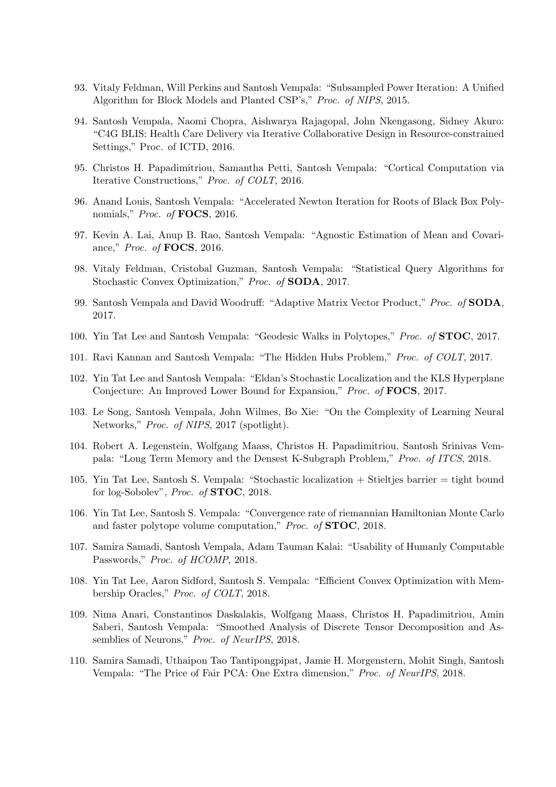- 93. Vitaly Feldman, Will Perkins and Santosh Vempala: "Subsampled Power Iteration: A Unified Algorithm for Block Models and Planted CSP's," Proc. of NIPS, 2015.
- 94. Santosh Vempala, Naomi Chopra, Aishwarya Rajagopal, John Nkengasong, Sidney Akuro: "C4G BLIS: Health Care Delivery via Iterative Collaborative Design in Resource-constrained Settings," Proc. of ICTD, 2016.
- 95. Christos H. Papadimitriou, Samantha Petti, Santosh Vempala: "Cortical Computation via Iterative Constructions," Proc. of COLT, 2016.
- 96. Anand Louis, Santosh Vempala: "Accelerated Newton Iteration for Roots of Black Box Polynomials," Proc. of **FOCS**, 2016.
- 97. Kevin A. Lai, Anup B. Rao, Santosh Vempala: "Agnostic Estimation of Mean and Covariance," Proc. of FOCS, 2016.
- 98. Vitaly Feldman, Cristobal Guzman, Santosh Vempala: "Statistical Query Algorithms for Stochastic Convex Optimization," Proc. of SODA, 2017.
- 99. Santosh Vempala and David Woodruff: "Adaptive Matrix Vector Product," Proc. of SODA, 2017.
- 100. Yin Tat Lee and Santosh Vempala: "Geodesic Walks in Polytopes," Proc. of STOC, 2017.
- 101. Ravi Kannan and Santosh Vempala: "The Hidden Hubs Problem," Proc. of COLT, 2017.
- 102. Yin Tat Lee and Santosh Vempala: "Eldan's Stochastic Localization and the KLS Hyperplane Conjecture: An Improved Lower Bound for Expansion," Proc. of FOCS, 2017.
- 103. Le Song, Santosh Vempala, John Wilmes, Bo Xie: "On the Complexity of Learning Neural Networks," *Proc. of NIPS*, 2017 (spotlight).
- 104. Robert A. Legenstein, Wolfgang Maass, Christos H. Papadimitriou, Santosh Srinivas Vempala: "Long Term Memory and the Densest K-Subgraph Problem," Proc. of ITCS, 2018.
- 105. Yin Tat Lee, Santosh S. Vempala: "Stochastic localization + Stieltjes barrier = tight bound for log-Sobolev", Proc. of STOC, 2018.
- 106. Yin Tat Lee, Santosh S. Vempala: "Convergence rate of riemannian Hamiltonian Monte Carlo and faster polytope volume computation," Proc. of STOC, 2018.
- 107. Samira Samadi, Santosh Vempala, Adam Tauman Kalai: "Usability of Humanly Computable Passwords," Proc. of HCOMP, 2018.
- 108. Yin Tat Lee, Aaron Sidford, Santosh S. Vempala: "Efficient Convex Optimization with Membership Oracles," Proc. of COLT, 2018.
- 109. Nima Anari, Constantinos Daskalakis, Wolfgang Maass, Christos H. Papadimitriou, Amin Saberi, Santosh Vempala: "Smoothed Analysis of Discrete Tensor Decomposition and Assemblies of Neurons," Proc. of NeurIPS, 2018.
- 110. Samira Samadi, Uthaipon Tao Tantipongpipat, Jamie H. Morgenstern, Mohit Singh, Santosh Vempala: "The Price of Fair PCA: One Extra dimension," Proc. of NeurIPS, 2018.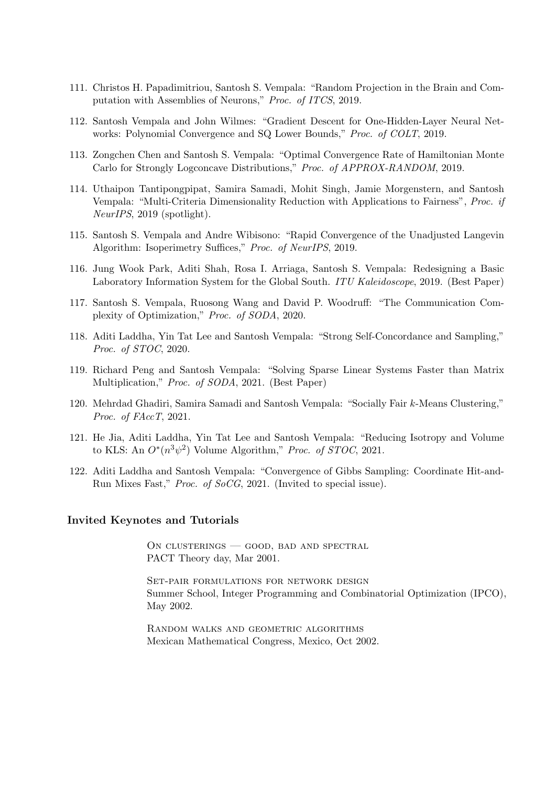- 111. Christos H. Papadimitriou, Santosh S. Vempala: "Random Projection in the Brain and Computation with Assemblies of Neurons," Proc. of ITCS, 2019.
- 112. Santosh Vempala and John Wilmes: "Gradient Descent for One-Hidden-Layer Neural Networks: Polynomial Convergence and SQ Lower Bounds," Proc. of COLT, 2019.
- 113. Zongchen Chen and Santosh S. Vempala: "Optimal Convergence Rate of Hamiltonian Monte Carlo for Strongly Logconcave Distributions," Proc. of APPROX-RANDOM, 2019.
- 114. Uthaipon Tantipongpipat, Samira Samadi, Mohit Singh, Jamie Morgenstern, and Santosh Vempala: "Multi-Criteria Dimensionality Reduction with Applications to Fairness", Proc. if NeurIPS, 2019 (spotlight).
- 115. Santosh S. Vempala and Andre Wibisono: "Rapid Convergence of the Unadjusted Langevin Algorithm: Isoperimetry Suffices," Proc. of NeurIPS, 2019.
- 116. Jung Wook Park, Aditi Shah, Rosa I. Arriaga, Santosh S. Vempala: Redesigning a Basic Laboratory Information System for the Global South. ITU Kaleidoscope, 2019. (Best Paper)
- 117. Santosh S. Vempala, Ruosong Wang and David P. Woodruff: "The Communication Complexity of Optimization," Proc. of SODA, 2020.
- 118. Aditi Laddha, Yin Tat Lee and Santosh Vempala: "Strong Self-Concordance and Sampling," Proc. of STOC, 2020.
- 119. Richard Peng and Santosh Vempala: "Solving Sparse Linear Systems Faster than Matrix Multiplication," Proc. of SODA, 2021. (Best Paper)
- 120. Mehrdad Ghadiri, Samira Samadi and Santosh Vempala: "Socially Fair k-Means Clustering," Proc. of FAccT, 2021.
- 121. He Jia, Aditi Laddha, Yin Tat Lee and Santosh Vempala: "Reducing Isotropy and Volume to KLS: An  $O^*(n^3\psi^2)$  Volume Algorithm," Proc. of STOC, 2021.
- 122. Aditi Laddha and Santosh Vempala: "Convergence of Gibbs Sampling: Coordinate Hit-and-Run Mixes Fast," Proc. of SoCG, 2021. (Invited to special issue).

#### Invited Keynotes and Tutorials

On clusterings — good, bad and spectral PACT Theory day, Mar 2001.

Set-pair formulations for network design Summer School, Integer Programming and Combinatorial Optimization (IPCO), May 2002.

Random walks and geometric algorithms Mexican Mathematical Congress, Mexico, Oct 2002.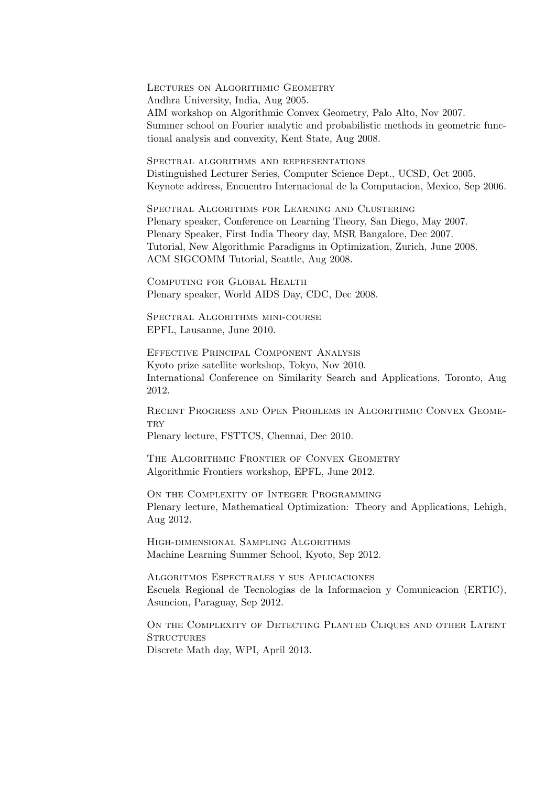Lectures on Algorithmic Geometry Andhra University, India, Aug 2005. AIM workshop on Algorithmic Convex Geometry, Palo Alto, Nov 2007. Summer school on Fourier analytic and probabilistic methods in geometric functional analysis and convexity, Kent State, Aug 2008.

Spectral algorithms and representations Distinguished Lecturer Series, Computer Science Dept., UCSD, Oct 2005. Keynote address, Encuentro Internacional de la Computacion, Mexico, Sep 2006.

Spectral Algorithms for Learning and Clustering Plenary speaker, Conference on Learning Theory, San Diego, May 2007. Plenary Speaker, First India Theory day, MSR Bangalore, Dec 2007. Tutorial, New Algorithmic Paradigms in Optimization, Zurich, June 2008. ACM SIGCOMM Tutorial, Seattle, Aug 2008.

Computing for Global Health Plenary speaker, World AIDS Day, CDC, Dec 2008.

SPECTRAL ALGORITHMS MINI-COURSE EPFL, Lausanne, June 2010.

Effective Principal Component Analysis Kyoto prize satellite workshop, Tokyo, Nov 2010. International Conference on Similarity Search and Applications, Toronto, Aug 2012.

Recent Progress and Open Problems in Algorithmic Convex Geome-**TRV** 

Plenary lecture, FSTTCS, Chennai, Dec 2010.

THE ALGORITHMIC FRONTIER OF CONVEX GEOMETRY Algorithmic Frontiers workshop, EPFL, June 2012.

ON THE COMPLEXITY OF INTEGER PROGRAMMING Plenary lecture, Mathematical Optimization: Theory and Applications, Lehigh, Aug 2012.

High-dimensional Sampling Algorithms Machine Learning Summer School, Kyoto, Sep 2012.

Algoritmos Espectrales y sus Aplicaciones Escuela Regional de Tecnologias de la Informacion y Comunicacion (ERTIC), Asuncion, Paraguay, Sep 2012.

ON THE COMPLEXITY OF DETECTING PLANTED CLIQUES AND OTHER LATENT **STRUCTURES** Discrete Math day, WPI, April 2013.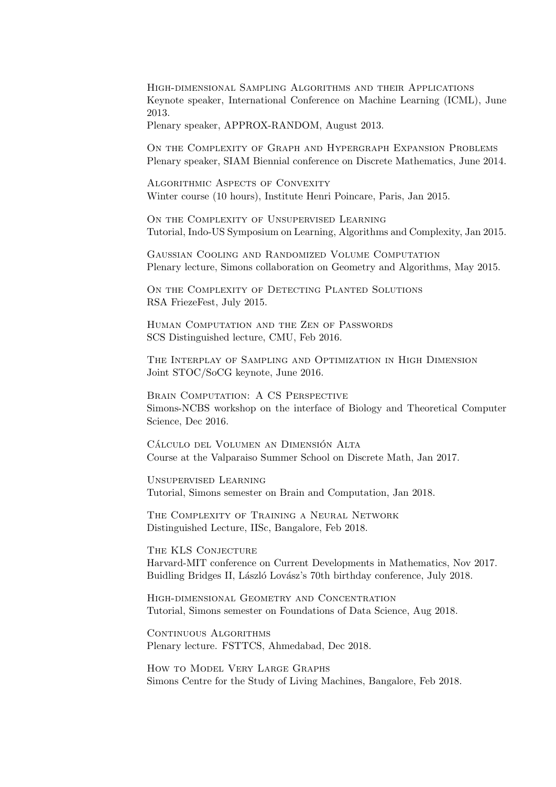High-dimensional Sampling Algorithms and their Applications Keynote speaker, International Conference on Machine Learning (ICML), June 2013.

Plenary speaker, APPROX-RANDOM, August 2013.

On the Complexity of Graph and Hypergraph Expansion Problems Plenary speaker, SIAM Biennial conference on Discrete Mathematics, June 2014.

Algorithmic Aspects of Convexity Winter course (10 hours), Institute Henri Poincare, Paris, Jan 2015.

ON THE COMPLEXITY OF UNSUPERVISED LEARNING Tutorial, Indo-US Symposium on Learning, Algorithms and Complexity, Jan 2015.

Gaussian Cooling and Randomized Volume Computation Plenary lecture, Simons collaboration on Geometry and Algorithms, May 2015.

ON THE COMPLEXITY OF DETECTING PLANTED SOLUTIONS RSA FriezeFest, July 2015.

Human Computation and the Zen of Passwords SCS Distinguished lecture, CMU, Feb 2016.

The Interplay of Sampling and Optimization in High Dimension Joint STOC/SoCG keynote, June 2016.

BRAIN COMPUTATION: A CS PERSPECTIVE Simons-NCBS workshop on the interface of Biology and Theoretical Computer Science, Dec 2016.

CÁLCULO DEL VOLUMEN AN DIMENSIÓN ALTA Course at the Valparaiso Summer School on Discrete Math, Jan 2017.

Unsupervised Learning Tutorial, Simons semester on Brain and Computation, Jan 2018.

THE COMPLEXITY OF TRAINING A NEURAL NETWORK Distinguished Lecture, IISc, Bangalore, Feb 2018.

THE KLS CONJECTURE Harvard-MIT conference on Current Developments in Mathematics, Nov 2017. Buidling Bridges II, László Lovász's 70th birthday conference, July 2018.

High-dimensional Geometry and Concentration Tutorial, Simons semester on Foundations of Data Science, Aug 2018.

CONTINUOUS ALGORITHMS Plenary lecture. FSTTCS, Ahmedabad, Dec 2018.

How to Model Very Large Graphs Simons Centre for the Study of Living Machines, Bangalore, Feb 2018.